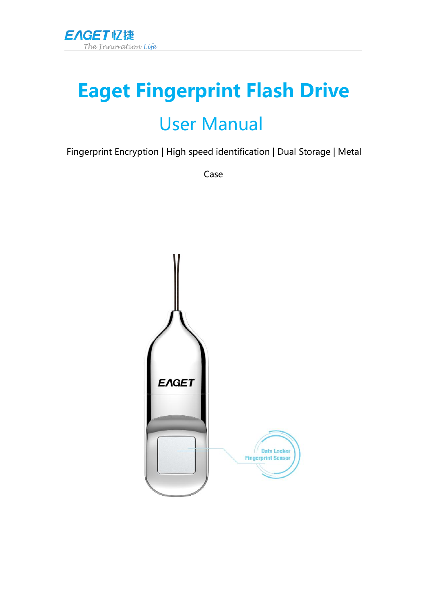

# **Eaget Fingerprint Flash Drive** User Manual

Fingerprint Encryption | High speed identification | Dual Storage | Metal

Case

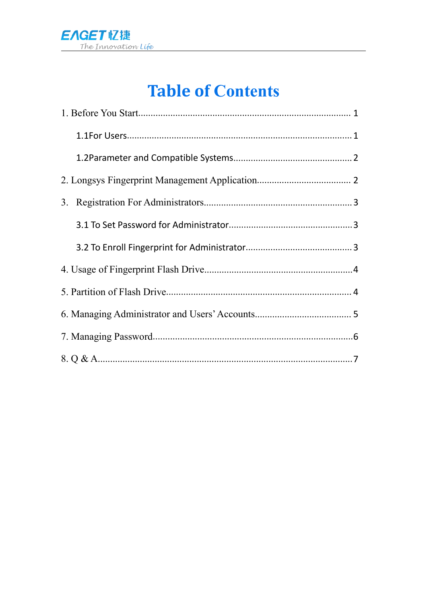

# **Table of Contents**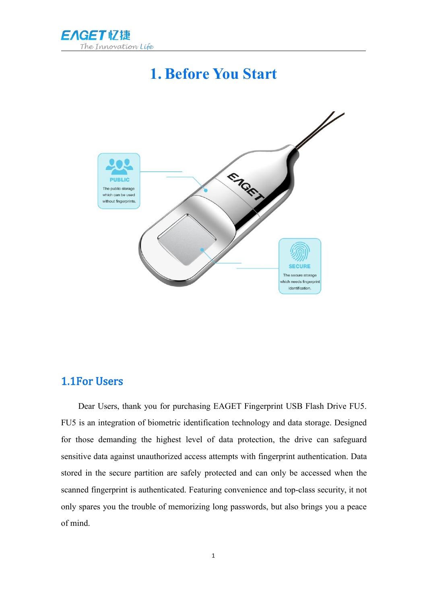<span id="page-2-2"></span><span id="page-2-1"></span>

### <span id="page-2-0"></span>**1. Before You Start**



### 1.1For Users

Dear Users, thank you for purchasing EAGET Fingerprint USB Flash Drive FU5. FU5 is an integration of biometric identification technology and data storage. Designed for those demanding the highest level of data protection, the drive can safeguard sensitive data against unauthorized access attempts with fingerprint authentication. Data stored in the secure partition are safely protected and can only be accessed when the scanned fingerprint is authenticated. Featuring convenience and top-class security, it not only spares you the trouble of memorizing long passwords, but also brings you a peace of mind.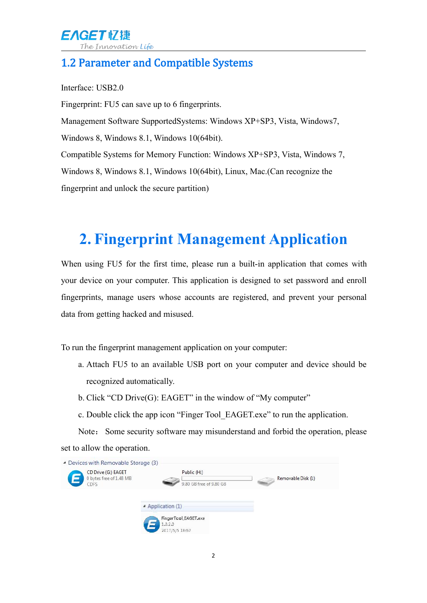### <span id="page-3-0"></span>1.2 Parameter and Compatible Systems

Interface: USB2.0

Fingerprint: FU5 can save up to 6 fingerprints. Management Software SupportedSystems: Windows XP+SP3, Vista, Windows7, Windows 8, Windows 8.1, Windows 10(64bit). Compatible Systems for Memory Function: Windows XP+SP3, Vista, Windows 7, Windows 8, Windows 8.1, Windows 10(64bit), Linux, Mac.(Can recognize the fingerprint and unlock the secure partition)

# **2. Fingerprint Management Application**

When using FU5 for the first time, please run a built-in application that comes with your device on your computer. This application is designed to set password and enroll fingerprints, manage users whose accounts are registered, and prevent your personal data from getting hacked and misused.

To run the fingerprint management application on your computer:

- a. Attach FU5 to an available USB port on your computer and device should be recognized automatically.
- b. Click "CD Drive(G): EAGET" in the window of "My computer"
- c. Double click the app icon "Finger Tool\_EAGET.exe" to run the application.

Note: Some security software may misunderstand and forbid the operation, please set to allow the operation.

| CD Drive (G:) EAGET<br>0 bytes free of 1.48 MB | Public (H:)                                       | Removable Disk (I:) |
|------------------------------------------------|---------------------------------------------------|---------------------|
| CDFS                                           | 9.80 GB free of 9.80 GB                           |                     |
|                                                | - Application (1)                                 |                     |
|                                                | FingerTool_EAGET.exe<br>1.0.2.0<br>2017/5/5 18:57 |                     |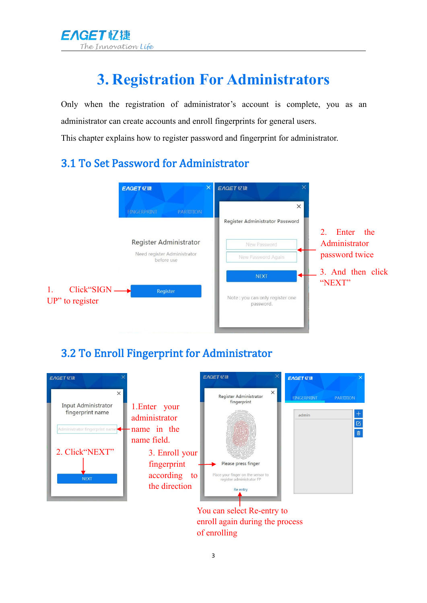<span id="page-4-1"></span>

# <span id="page-4-0"></span>**3. Registration For Administrators**

Only when the registration of administrator's account is complete, you as an administrator can create accounts and enroll fingerprints for general users.

This chapter explains how to register password and fingerprint for administrator.

### 3.1 To Set Password for Administrator



### 3.2 To Enroll Fingerprint for Administrator



You can select Re-entry to enroll again during the process of enrolling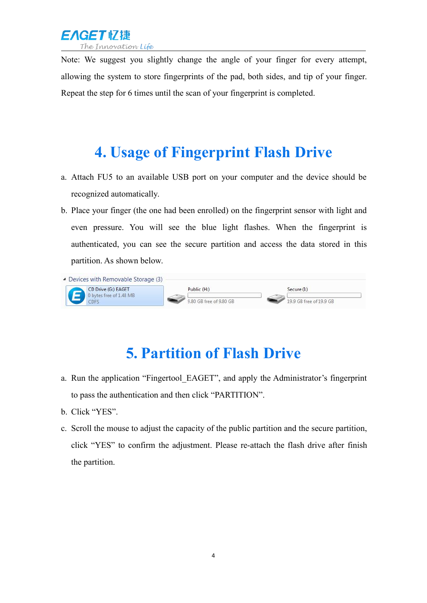

<span id="page-5-1"></span><span id="page-5-0"></span>Note: We suggest you slightly change the angle of your finger for every attempt, allowing the system to store fingerprints of the pad, both sides, and tip of your finger. Repeat the step for 6 times until the scan of your fingerprint is completed.

### **4. Usage of Fingerprint Flash Drive**

- a. Attach FU5 to an available USB port on your computer and the device should be recognized automatically.
- b. Place your finger (the one had been enrolled) on the fingerprint sensor with light and even pressure. You will see the blue light flashes. When the fingerprint is authenticated, you can see the secure partition and access the data stored in this partition. As shown below.

| • Devices with Removable Storage (3)           |                         |                         |
|------------------------------------------------|-------------------------|-------------------------|
| CD Drive (G:) EAGET<br>0 bytes free of 1.48 MB | Public (H:)             | Secure (I)              |
|                                                | 9.80 GB free of 9.80 GB | 19.9 GB free of 19.9 GB |

### **5. Partition of Flash Drive**

- a. Run the application "Fingertool\_EAGET", and apply the Administrator's fingerprint to pass the authentication and then click "PARTITION".
- b. Click "YES".
- c. Scroll the mouse to adjust the capacity of the public partition and the secure partition, click "YES" to confirm the adjustment. Please re-attach the flash drive after finish the partition.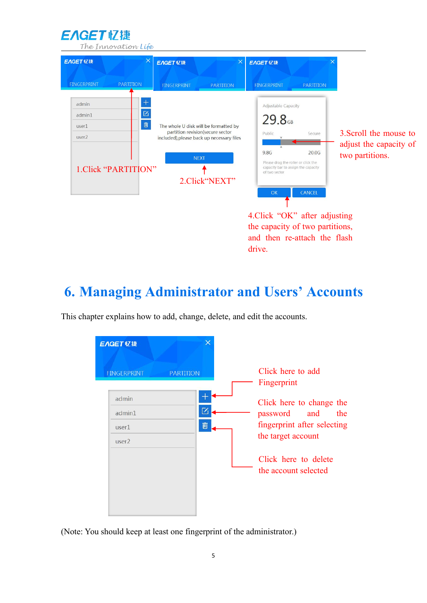EAGET忆捷

<span id="page-6-0"></span>The Innovation Life



3.Scroll the mouse to adjust the capacity of two partitions.

4.Click "OK" after adjusting the capacity of two partitions, and then re-attach the flash drive.

### **6. Managing Administrator and Users' Accounts**

This chapter explains how to add, change, delete, and edit the accounts.



(Note: You should keep at least one fingerprint of the administrator.)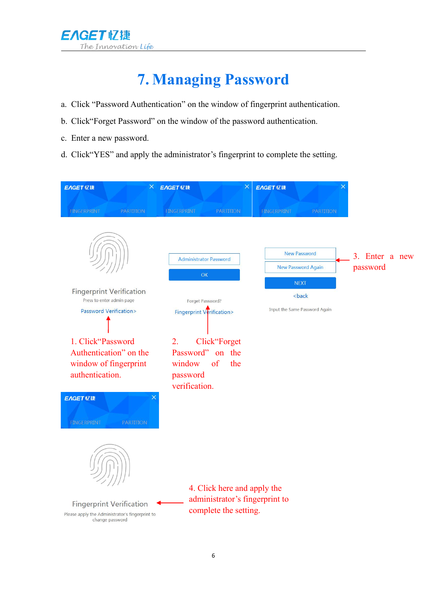

# <span id="page-7-0"></span>**7. Managing Password**

- a. Click "Password Authentication" on the window of fingerprint authentication.
- b. Click"Forget Password" on the window of the password authentication.
- c. Enter a new password.
- d. Click"YES" and apply the administrator's fingerprint to complete the setting.

| <b>EAGET 忆捷</b><br><b>FINGERPRINT</b><br><b>PARTITION</b>                                                                                                                                                                                      | $\times$<br>X EAGET 忆捷<br><b>FINGERPRINT</b><br><b>PARTITION</b>                                                                                                                   | <b>EAGET 忆捷</b><br><b>FINGERPRINT</b><br><b>PARTITION</b>                                                           |                            |
|------------------------------------------------------------------------------------------------------------------------------------------------------------------------------------------------------------------------------------------------|------------------------------------------------------------------------------------------------------------------------------------------------------------------------------------|---------------------------------------------------------------------------------------------------------------------|----------------------------|
| <b>Fingerprint Verification</b><br>Press to enter admin page<br>Password Verification><br>1. Click"Password<br>Authentication" on the<br>window of fingerprint<br>authentication.<br><b>EAGET 忆捷</b><br><b>FINGERPRINT</b><br><b>PARTITION</b> | <b>Administrator Password</b><br>OK<br>Forget Password?<br>Fingerprint Verification><br>Click"Forget<br>2.<br>Password" on the<br>of<br>the<br>window<br>password<br>verification. | <b>New Password</b><br><b>New Password Again</b><br><b>NEXT</b><br><back<br>Input the Same Password Again</back<br> | 3. Enter a new<br>password |
| <b>Fingerprint Verification</b><br>Please apply the Administrator's fingerprint to<br>change password                                                                                                                                          | 4. Click here and apply the<br>administrator's fingerprint to<br>complete the setting.                                                                                             |                                                                                                                     |                            |